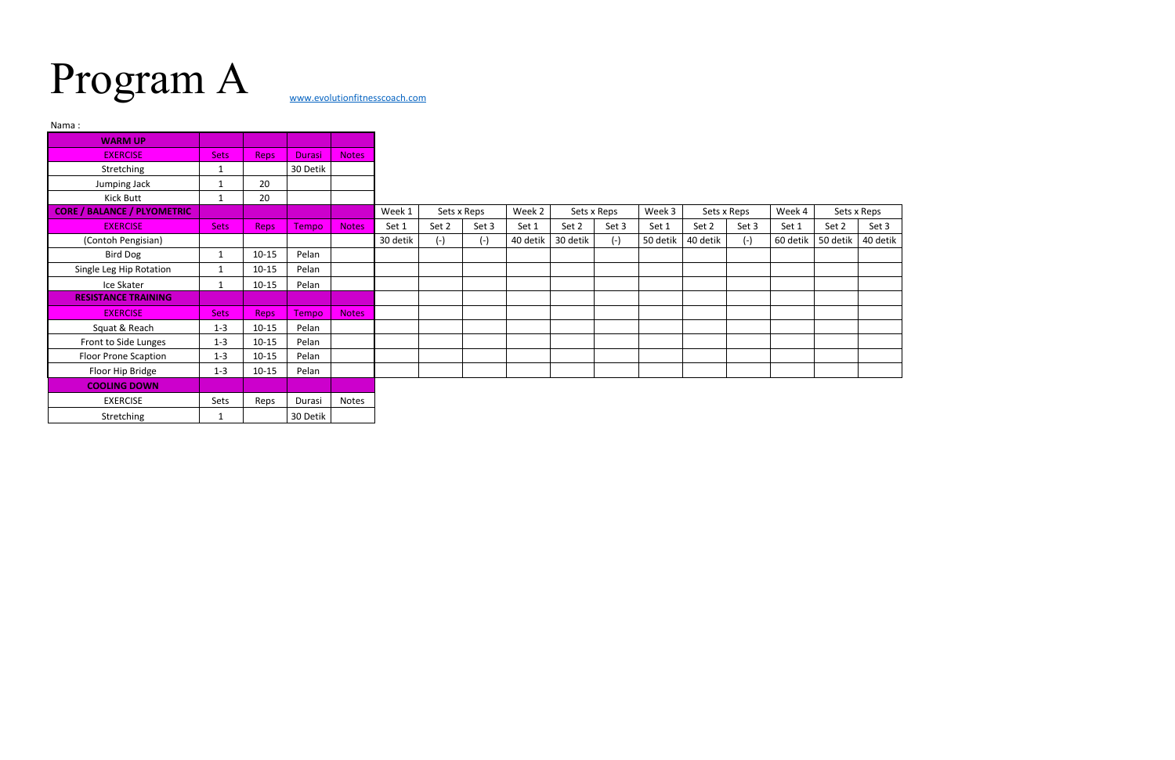## Program A [www.evolutionfitnesscoach.com](http://www.evolutionfitnesscoach.com/)

| Nama:                              |              |             |               |              |          |             |       |          |          |             |          |          |             |          |          |             |
|------------------------------------|--------------|-------------|---------------|--------------|----------|-------------|-------|----------|----------|-------------|----------|----------|-------------|----------|----------|-------------|
| <b>WARM UP</b>                     |              |             |               |              |          |             |       |          |          |             |          |          |             |          |          |             |
| <b>EXERCISE</b>                    | <b>Sets</b>  | Reps        | <b>Durasi</b> | <b>Notes</b> |          |             |       |          |          |             |          |          |             |          |          |             |
| Stretching                         | 1            |             | 30 Detik      |              |          |             |       |          |          |             |          |          |             |          |          |             |
| Jumping Jack                       | 1            | 20          |               |              |          |             |       |          |          |             |          |          |             |          |          |             |
| Kick Butt                          | 1            | 20          |               |              |          |             |       |          |          |             |          |          |             |          |          |             |
| <b>CORE / BALANCE / PLYOMETRIC</b> |              |             |               |              | Week 1   | Sets x Reps |       | Week 2   |          | Sets x Reps | Week 3   |          | Sets x Reps | Week 4   |          | Sets x Reps |
| <b>EXERCISE</b>                    | <b>Sets</b>  | <b>Reps</b> | Tempo         | <b>Notes</b> | Set 1    | Set 2       | Set 3 | Set 1    | Set 2    | Set 3       | Set 1    | Set 2    | Set 3       | Set 1    | Set 2    | Set 3       |
| (Contoh Pengisian)                 |              |             |               |              | 30 detik | $(-)$       | $(-)$ | 40 detik | 30 detik | $(-)$       | 50 detik | 40 detik | $(-)$       | 60 detik | 50 detik | 40 detik    |
| <b>Bird Dog</b>                    | $\mathbf{1}$ | $10 - 15$   | Pelan         |              |          |             |       |          |          |             |          |          |             |          |          |             |
| Single Leg Hip Rotation            | 1            | $10 - 15$   | Pelan         |              |          |             |       |          |          |             |          |          |             |          |          |             |
| Ice Skater                         | $\mathbf{1}$ | $10 - 15$   | Pelan         |              |          |             |       |          |          |             |          |          |             |          |          |             |
| <b>RESISTANCE TRAINING</b>         |              |             |               |              |          |             |       |          |          |             |          |          |             |          |          |             |
| <b>EXERCISE</b>                    | <b>Sets</b>  | Reps        | Tempo         | <b>Notes</b> |          |             |       |          |          |             |          |          |             |          |          |             |
| Squat & Reach                      | $1 - 3$      | $10 - 15$   | Pelan         |              |          |             |       |          |          |             |          |          |             |          |          |             |
| Front to Side Lunges               | $1 - 3$      | $10 - 15$   | Pelan         |              |          |             |       |          |          |             |          |          |             |          |          |             |
| <b>Floor Prone Scaption</b>        | $1 - 3$      | $10 - 15$   | Pelan         |              |          |             |       |          |          |             |          |          |             |          |          |             |
| Floor Hip Bridge                   | $1 - 3$      | $10 - 15$   | Pelan         |              |          |             |       |          |          |             |          |          |             |          |          |             |
| <b>COOLING DOWN</b>                |              |             |               |              |          |             |       |          |          |             |          |          |             |          |          |             |
| <b>EXERCISE</b>                    | Sets         | Reps        | Durasi        | Notes        |          |             |       |          |          |             |          |          |             |          |          |             |
| Stretching                         | 1            |             | 30 Detik      |              |          |             |       |          |          |             |          |          |             |          |          |             |

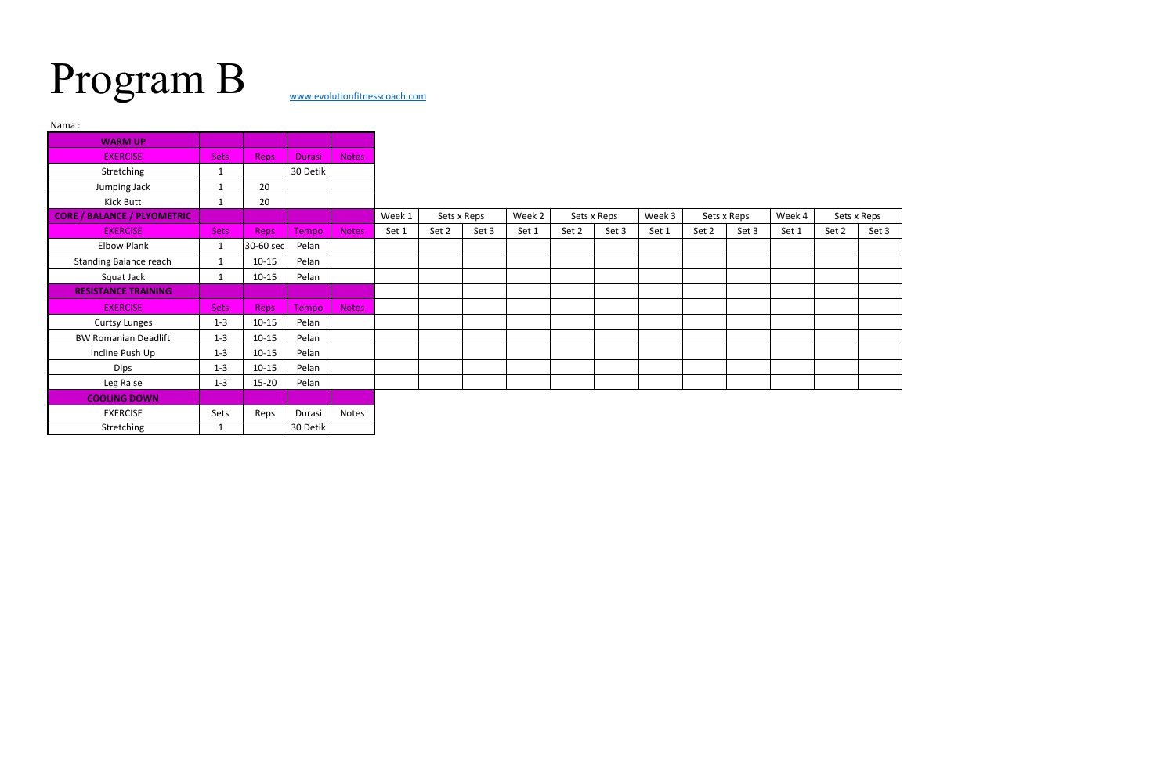## Program B [www.evolutionfitnesscoach.com](http://www.evolutionfitnesscoach.com/)

| Nama:                              |              |             |               |              |                       |       |        |             |       |        |             |       |        |       |             |       |
|------------------------------------|--------------|-------------|---------------|--------------|-----------------------|-------|--------|-------------|-------|--------|-------------|-------|--------|-------|-------------|-------|
| <b>WARM UP</b>                     |              |             |               |              |                       |       |        |             |       |        |             |       |        |       |             |       |
| <b>EXERCISE</b>                    | <b>Sets</b>  | <b>Reps</b> | <b>Durasi</b> | <b>Notes</b> |                       |       |        |             |       |        |             |       |        |       |             |       |
| Stretching                         | $\mathbf{1}$ |             | 30 Detik      |              |                       |       |        |             |       |        |             |       |        |       |             |       |
| Jumping Jack                       | 1            | 20          |               |              |                       |       |        |             |       |        |             |       |        |       |             |       |
| Kick Butt                          | 1            | 20          |               |              |                       |       |        |             |       |        |             |       |        |       |             |       |
| <b>CORE / BALANCE / PLYOMETRIC</b> |              |             |               |              | Week 1<br>Sets x Reps |       | Week 2 | Sets x Reps |       | Week 3 | Sets x Reps |       | Week 4 |       | Sets x Reps |       |
| <b>EXERCISE</b>                    | <b>Sets</b>  | <b>Reps</b> | <b>Tempo</b>  | <b>Notes</b> | Set 1                 | Set 2 | Set 3  | Set 1       | Set 2 | Set 3  | Set 1       | Set 2 | Set 3  | Set 1 | Set 2       | Set 3 |
| <b>Elbow Plank</b>                 | $\mathbf{1}$ | 30-60 sec   | Pelan         |              |                       |       |        |             |       |        |             |       |        |       |             |       |
| <b>Standing Balance reach</b>      | $\mathbf{1}$ | $10 - 15$   | Pelan         |              |                       |       |        |             |       |        |             |       |        |       |             |       |
| Squat Jack                         | 1            | $10 - 15$   | Pelan         |              |                       |       |        |             |       |        |             |       |        |       |             |       |
| <b>RESISTANCE TRAINING</b>         |              |             |               |              |                       |       |        |             |       |        |             |       |        |       |             |       |
| <b>EXERCISE</b>                    | <b>Sets</b>  | <b>Reps</b> | Tempo         | <b>Notes</b> |                       |       |        |             |       |        |             |       |        |       |             |       |
| <b>Curtsy Lunges</b>               | $1 - 3$      | $10 - 15$   | Pelan         |              |                       |       |        |             |       |        |             |       |        |       |             |       |
| <b>BW Romanian Deadlift</b>        | $1 - 3$      | $10 - 15$   | Pelan         |              |                       |       |        |             |       |        |             |       |        |       |             |       |
| Incline Push Up                    | $1 - 3$      | $10 - 15$   | Pelan         |              |                       |       |        |             |       |        |             |       |        |       |             |       |
| Dips                               | $1 - 3$      | $10 - 15$   | Pelan         |              |                       |       |        |             |       |        |             |       |        |       |             |       |
| Leg Raise                          | $1 - 3$      | $15 - 20$   | Pelan         |              |                       |       |        |             |       |        |             |       |        |       |             |       |
| <b>COOLING DOWN</b>                |              |             |               |              |                       |       |        |             |       |        |             |       |        |       |             |       |
| <b>EXERCISE</b>                    | Sets         | Reps        | Durasi        | Notes        |                       |       |        |             |       |        |             |       |        |       |             |       |
| Stretching                         | $\mathbf{1}$ |             | 30 Detik      |              |                       |       |        |             |       |        |             |       |        |       |             |       |